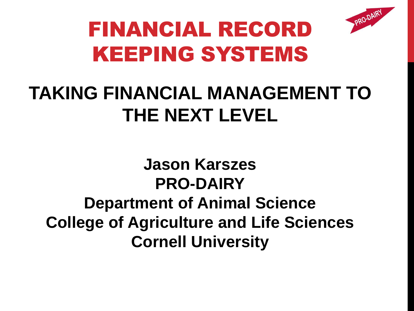

# FINANCIAL RECORD KEEPING SYSTEMS

#### **TAKING FINANCIAL MANAGEMENT TO THE NEXT LEVEL**

**Jason Karszes PRO-DAIRY Department of Animal Science College of Agriculture and Life Sciences Cornell University**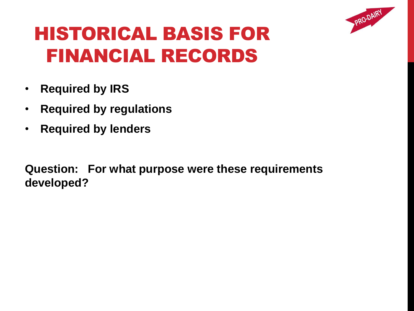

#### HISTORICAL BASIS FOR FINANCIAL RECORDS

- **Required by IRS**
- **Required by regulations**
- **Required by lenders**

**Question: For what purpose were these requirements developed?**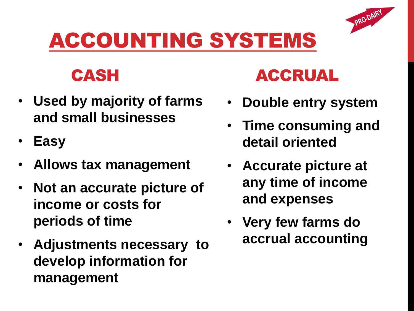#### ACCOUNTING SYSTEMS



- **Used by majority of farms and small businesses**
- **Easy**
- **Allows tax management**
- **Not an accurate picture of income or costs for periods of time**
- **Adjustments necessary to develop information for management**



• **Double entry system**

PRO-DAIRY

- **Time consuming and detail oriented**
- **Accurate picture at any time of income and expenses**
- **Very few farms do accrual accounting**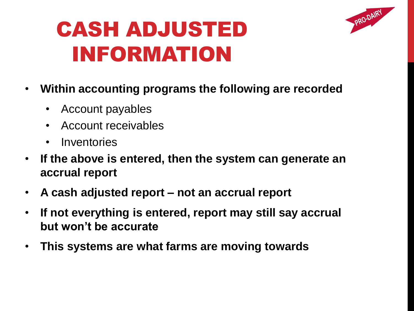

#### CASH ADJUSTED INFORMATION

- **Within accounting programs the following are recorded**
	- Account payables
	- Account receivables
	- Inventories
- **If the above is entered, then the system can generate an accrual report**
- **A cash adjusted report – not an accrual report**
- **If not everything is entered, report may still say accrual but won't be accurate**
- **This systems are what farms are moving towards**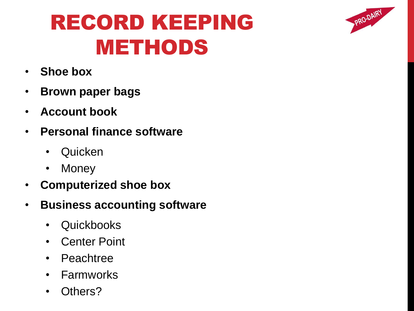#### RECORD KEEPING METHODS

PRO-DAIRY

- **Shoe box**
- **Brown paper bags**
- **Account book**
- **Personal finance software**
	- Quicken
	- Money
- **Computerized shoe box**
- **Business accounting software**
	- Quickbooks
	- Center Point
	- Peachtree
	- Farmworks
	- Others?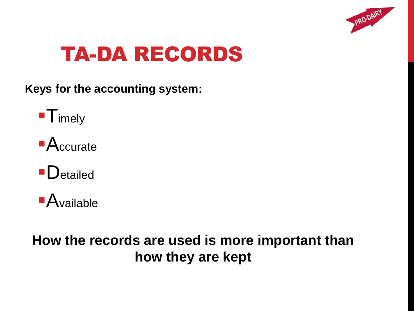

#### TA-DA RECORDS

**Keys for the accounting system:**



- Accurate
- **D**etailed



#### **How the records are used is more important than how they are kept**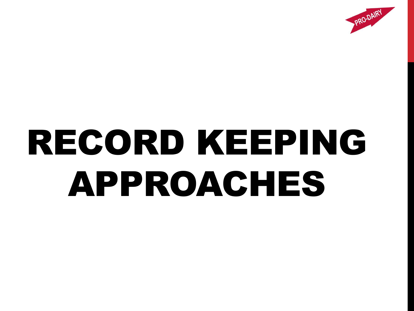

# RECORD KEEPING APPROACHES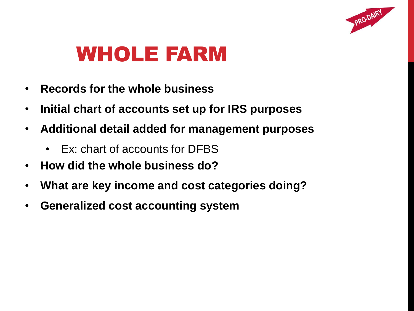

#### WHOLE FARM

- **Records for the whole business**
- **Initial chart of accounts set up for IRS purposes**
- **Additional detail added for management purposes**
	- Ex: chart of accounts for DFBS
- **How did the whole business do?**
- **What are key income and cost categories doing?**
- **Generalized cost accounting system**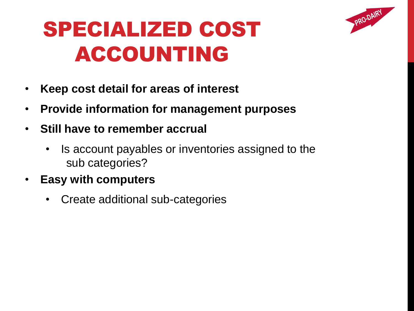

# SPECIALIZED COST ACCOUNTING

- **Keep cost detail for areas of interest**
- **Provide information for management purposes**
- **Still have to remember accrual**
	- Is account payables or inventories assigned to the sub categories?
- **Easy with computers**
	- Create additional sub-categories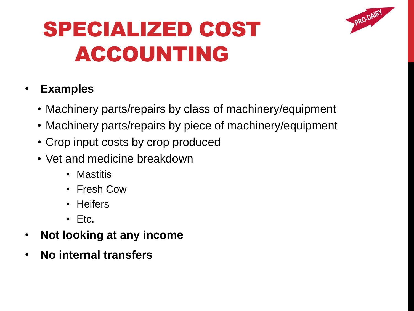

# SPECIALIZED COST ACCOUNTING

#### • **Examples**

- Machinery parts/repairs by class of machinery/equipment
- Machinery parts/repairs by piece of machinery/equipment
- Crop input costs by crop produced
- Vet and medicine breakdown
	- Mastitis
	- Fresh Cow
	- Heifers
	- Etc.
- **Not looking at any income**
- **No internal transfers**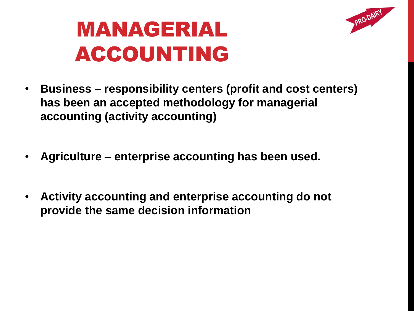

### MANAGERIAL ACCOUNTING

- **Business – responsibility centers (profit and cost centers) has been an accepted methodology for managerial accounting (activity accounting)**
- **Agriculture – enterprise accounting has been used.**
- **Activity accounting and enterprise accounting do not provide the same decision information**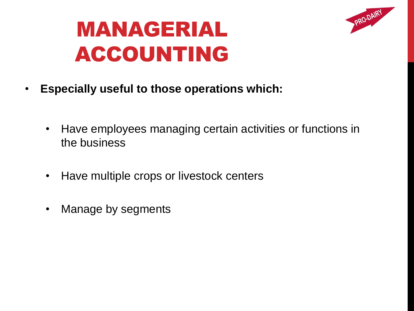

# MANAGERIAL ACCOUNTING

- **Especially useful to those operations which:**
	- Have employees managing certain activities or functions in the business
	- Have multiple crops or livestock centers
	- Manage by segments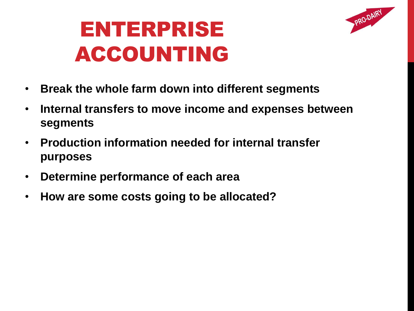

- **Break the whole farm down into different segments**
- **Internal transfers to move income and expenses between segments**
- **Production information needed for internal transfer purposes**
- **Determine performance of each area**
- **How are some costs going to be allocated?**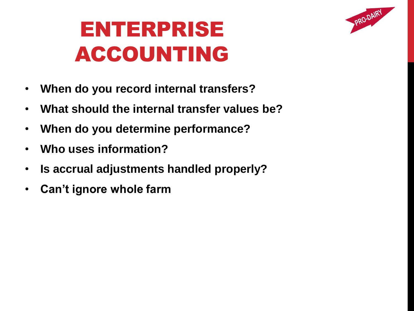

- **When do you record internal transfers?**
- **What should the internal transfer values be?**
- **When do you determine performance?**
- **Who uses information?**
- **Is accrual adjustments handled properly?**
- **Can't ignore whole farm**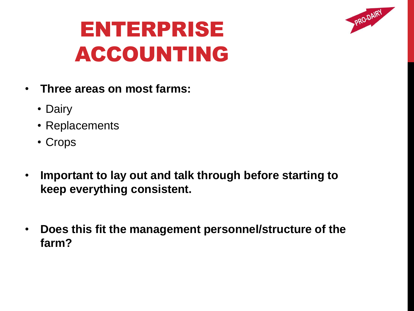

- **Three areas on most farms:**
	- Dairy
	- Replacements
	- Crops
- **Important to lay out and talk through before starting to keep everything consistent.**
- **Does this fit the management personnel/structure of the farm?**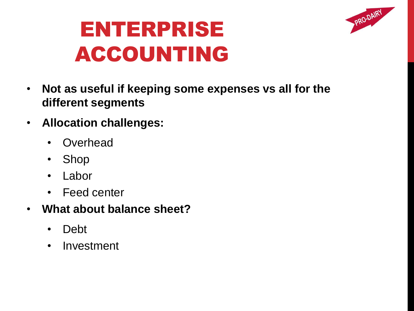

- **Not as useful if keeping some expenses vs all for the different segments**
- **Allocation challenges:**
	- **Overhead**
	- Shop
	- Labor
	- Feed center
- **What about balance sheet?**
	- Debt
	- Investment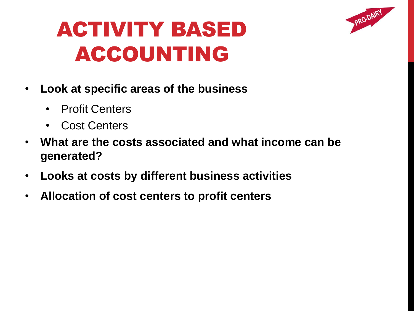

- **Look at specific areas of the business**
	- Profit Centers
	- Cost Centers
- **What are the costs associated and what income can be generated?**
- **Looks at costs by different business activities**
- **Allocation of cost centers to profit centers**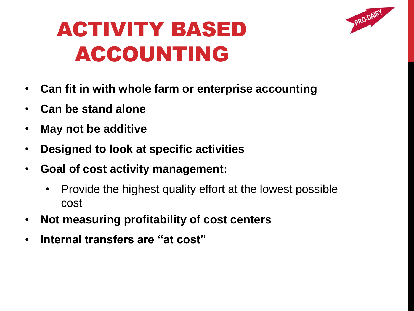

- **Can fit in with whole farm or enterprise accounting**
- **Can be stand alone**
- **May not be additive**
- **Designed to look at specific activities**
- **Goal of cost activity management:**
	- Provide the highest quality effort at the lowest possible cost
- **Not measuring profitability of cost centers**
- **Internal transfers are "at cost"**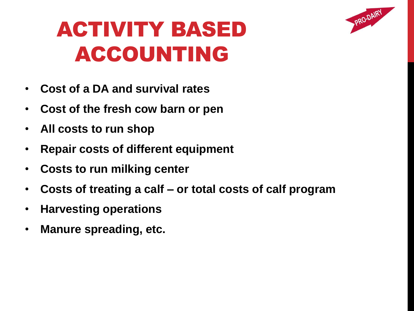

- **Cost of a DA and survival rates**
- **Cost of the fresh cow barn or pen**
- **All costs to run shop**
- **Repair costs of different equipment**
- **Costs to run milking center**
- **Costs of treating a calf – or total costs of calf program**
- **Harvesting operations**
- **Manure spreading, etc.**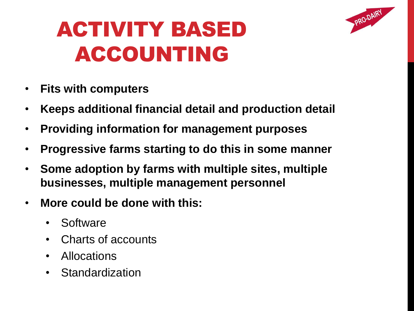

- **Fits with computers**
- **Keeps additional financial detail and production detail**
- **Providing information for management purposes**
- **Progressive farms starting to do this in some manner**
- **Some adoption by farms with multiple sites, multiple businesses, multiple management personnel**
- **More could be done with this:**
	- Software
	- Charts of accounts
	- Allocations
	- Standardization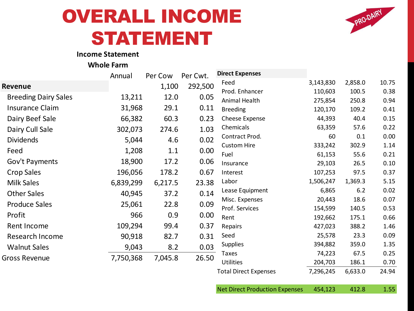#### OVERALL INCOME STATEMENT



#### **Income Statement**

**Whole Farm**

|                             | Annual    | Per Cow | Per Cwt. | <b>Direct Expenses</b>       |           |         |       |
|-----------------------------|-----------|---------|----------|------------------------------|-----------|---------|-------|
| Revenue                     |           | 1,100   | 292,500  | Feed                         | 3,143,830 | 2,858.0 | 10.75 |
| <b>Breeding Dairy Sales</b> | 13,211    | 12.0    | 0.05     | Prod. Enhancer               | 110,603   | 100.5   | 0.38  |
|                             |           |         |          | Animal Health                | 275,854   | 250.8   | 0.94  |
| Insurance Claim             | 31,968    | 29.1    | 0.11     | <b>Breeding</b>              | 120,170   | 109.2   | 0.41  |
| Dairy Beef Sale             | 66,382    | 60.3    | 0.23     | Cheese Expense               | 44,393    | 40.4    | 0.15  |
| Dairy Cull Sale             | 302,073   | 274.6   | 1.03     | Chemicals                    | 63,359    | 57.6    | 0.22  |
| <b>Dividends</b>            | 5,044     | 4.6     | 0.02     | Contract Prod.               | 60        | 0.1     | 0.00  |
| Feed                        | 1,208     | 1.1     | 0.00     | <b>Custom Hire</b>           | 333,242   | 302.9   | 1.14  |
|                             |           |         |          | Fuel                         | 61,153    | 55.6    | 0.21  |
| Gov't Payments              | 18,900    | 17.2    | 0.06     | Insurance                    | 29,103    | 26.5    | 0.10  |
| Crop Sales                  | 196,056   | 178.2   | 0.67     | Interest                     | 107,253   | 97.5    | 0.37  |
| <b>Milk Sales</b>           | 6,839,299 | 6,217.5 | 23.38    | Labor                        | 1,506,247 | 1,369.3 | 5.15  |
| <b>Other Sales</b>          | 40,945    | 37.2    | 0.14     | Lease Equipment              | 6,865     | 6.2     | 0.02  |
| <b>Produce Sales</b>        | 25,061    | 22.8    | 0.09     | Misc. Expenses               | 20,443    | 18.6    | 0.07  |
|                             |           |         |          | Prof. Services               | 154,599   | 140.5   | 0.53  |
| Profit                      | 966       | 0.9     | 0.00     | Rent                         | 192,662   | 175.1   | 0.66  |
| Rent Income                 | 109,294   | 99.4    | 0.37     | Repairs                      | 427,023   | 388.2   | 1.46  |
| <b>Research Income</b>      | 90,918    | 82.7    | 0.31     | Seed                         | 25,578    | 23.3    | 0.09  |
| <b>Walnut Sales</b>         | 9,043     | 8.2     | 0.03     | <b>Supplies</b>              | 394,882   | 359.0   | 1.35  |
| <b>Gross Revenue</b>        | 7,750,368 | 7,045.8 | 26.50    | Taxes                        | 74,223    | 67.5    | 0.25  |
|                             |           |         |          | <b>Utilities</b>             | 204,703   | 186.1   | 0.70  |
|                             |           |         |          | <b>Total Direct Expenses</b> | 7,296,245 | 6,633.0 | 24.94 |

Net Direct Production Expenses 454,123 412.8 1.55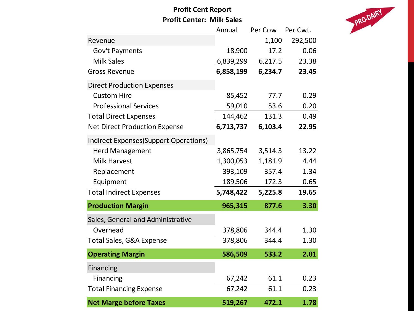#### **Profit Cent Report Profit Center: Milk Sales**



|                                               | Annual    | Per Cow | Per Cwt. |
|-----------------------------------------------|-----------|---------|----------|
| Revenue                                       |           | 1,100   | 292,500  |
| Gov't Payments                                | 18,900    | 17.2    | 0.06     |
| <b>Milk Sales</b>                             | 6,839,299 | 6,217.5 | 23.38    |
| <b>Gross Revenue</b>                          | 6,858,199 | 6,234.7 | 23.45    |
| <b>Direct Production Expenses</b>             |           |         |          |
| <b>Custom Hire</b>                            | 85,452    | 77.7    | 0.29     |
| <b>Professional Services</b>                  | 59,010    | 53.6    | 0.20     |
| <b>Total Direct Expenses</b>                  | 144,462   | 131.3   | 0.49     |
| <b>Net Direct Production Expense</b>          | 6,713,737 | 6,103.4 | 22.95    |
| <b>Indirect Expenses (Support Operations)</b> |           |         |          |
| <b>Herd Management</b>                        | 3,865,754 | 3,514.3 | 13.22    |
| <b>Milk Harvest</b>                           | 1,300,053 | 1,181.9 | 4.44     |
| Replacement                                   | 393,109   | 357.4   | 1.34     |
| Equipment                                     | 189,506   | 172.3   | 0.65     |
| <b>Total Indirect Expenses</b>                | 5,748,422 | 5,225.8 | 19.65    |
| <b>Production Margin</b>                      | 965,315   | 877.6   | 3.30     |
| Sales, General and Administrative             |           |         |          |
| Overhead                                      | 378,806   | 344.4   | 1.30     |
| <b>Total Sales, G&amp;A Expense</b>           | 378,806   | 344.4   | 1.30     |
| <b>Operating Margin</b>                       | 586,509   | 533.2   | 2.01     |
| Financing                                     |           |         |          |
| Financing                                     | 67,242    | 61.1    | 0.23     |
| <b>Total Financing Expense</b>                | 67,242    | 61.1    | 0.23     |
| <b>Net Marge before Taxes</b>                 | 519,267   | 472.1   | 1.78     |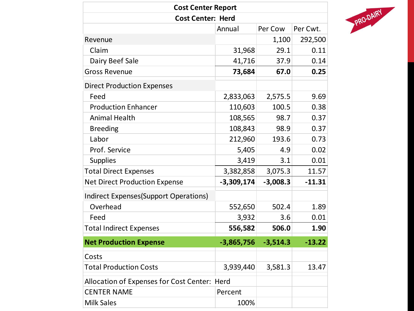| <b>Cost Center Report</b><br><b>Cost Center: Herd</b> |              |            |          |  |  |
|-------------------------------------------------------|--------------|------------|----------|--|--|
|                                                       |              |            |          |  |  |
| Revenue                                               |              | 1,100      | 292,500  |  |  |
| Claim                                                 | 31,968       | 29.1       | 0.11     |  |  |
| Dairy Beef Sale                                       | 41,716       | 37.9       | 0.14     |  |  |
| <b>Gross Revenue</b>                                  | 73,684       | 67.0       | 0.25     |  |  |
| <b>Direct Production Expenses</b>                     |              |            |          |  |  |
| Feed                                                  | 2,833,063    | 2,575.5    | 9.69     |  |  |
| <b>Production Enhancer</b>                            | 110,603      | 100.5      | 0.38     |  |  |
| <b>Animal Health</b>                                  | 108,565      | 98.7       | 0.37     |  |  |
| <b>Breeding</b>                                       | 108,843      | 98.9       | 0.37     |  |  |
| Labor                                                 | 212,960      | 193.6      | 0.73     |  |  |
| Prof. Service                                         | 5,405        | 4.9        | 0.02     |  |  |
| <b>Supplies</b>                                       | 3,419        | 3.1        | 0.01     |  |  |
| <b>Total Direct Expenses</b>                          | 3,382,858    | 3,075.3    | 11.57    |  |  |
| <b>Net Direct Production Expense</b>                  | $-3,309,174$ | $-3,008.3$ | $-11.31$ |  |  |
| Indirect Expenses (Support Operations)                |              |            |          |  |  |
| Overhead                                              | 552,650      | 502.4      | 1.89     |  |  |
| Feed                                                  | 3,932        | 3.6        | 0.01     |  |  |
| <b>Total Indirect Expenses</b>                        | 556,582      | 506.0      | 1.90     |  |  |
| <b>Net Production Expense</b>                         | $-3,865,756$ | $-3,514.3$ | $-13.22$ |  |  |
| Costs                                                 |              |            |          |  |  |
| <b>Total Production Costs</b>                         | 3,939,440    | 3,581.3    | 13.47    |  |  |
| Allocation of Expenses for Cost Center: Herd          |              |            |          |  |  |
| <b>CENTER NAME</b>                                    | Percent      |            |          |  |  |
| <b>Milk Sales</b>                                     | 100%         |            |          |  |  |

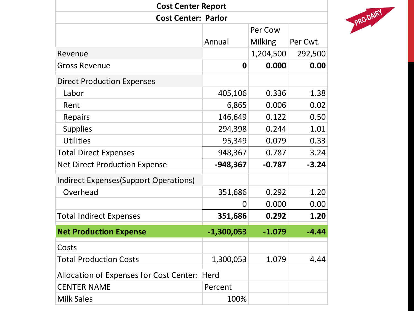| <b>Cost Center Report</b>                    |                |                |          |  |
|----------------------------------------------|----------------|----------------|----------|--|
| <b>Cost Center: Parlor</b>                   |                |                |          |  |
|                                              |                | Per Cow        |          |  |
|                                              | Annual         | <b>Milking</b> | Per Cwt. |  |
| Revenue                                      |                | 1,204,500      | 292,500  |  |
| <b>Gross Revenue</b>                         | $\mathbf 0$    | 0.000          | 0.00     |  |
| <b>Direct Production Expenses</b>            |                |                |          |  |
| Labor                                        | 405,106        | 0.336          | 1.38     |  |
| Rent                                         | 6,865          | 0.006          | 0.02     |  |
| Repairs                                      | 146,649        | 0.122          | 0.50     |  |
| <b>Supplies</b>                              | 294,398        | 0.244          | 1.01     |  |
| <b>Utilities</b>                             | 95,349         | 0.079          | 0.33     |  |
| <b>Total Direct Expenses</b>                 | 948,367        | 0.787          | 3.24     |  |
| <b>Net Direct Production Expense</b>         | $-948,367$     | $-0.787$       | $-3.24$  |  |
| Indirect Expenses (Support Operations)       |                |                |          |  |
| Overhead                                     | 351,686        | 0.292          | 1.20     |  |
|                                              | $\overline{0}$ | 0.000          | 0.00     |  |
| <b>Total Indirect Expenses</b>               | 351,686        | 0.292          | 1.20     |  |
| <b>Net Production Expense</b>                | $-1,300,053$   | $-1.079$       | $-4.44$  |  |
| Costs                                        |                |                |          |  |
| <b>Total Production Costs</b>                | 1,300,053      | 1.079          | 4.44     |  |
| Allocation of Expenses for Cost Center: Herd |                |                |          |  |
| <b>CENTER NAME</b>                           | Percent        |                |          |  |
| <b>Milk Sales</b>                            | 100%           |                |          |  |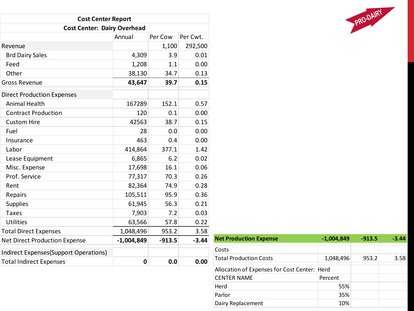| <b>Cost Center Report</b>             |              |          |          |  |  |
|---------------------------------------|--------------|----------|----------|--|--|
| <b>Cost Center: Dairy Overhead</b>    |              |          |          |  |  |
|                                       | Annual       | Per Cow  | Per Cwt. |  |  |
| Revenue                               |              | 1,100    | 292,500  |  |  |
| <b>Brd Dairy Sales</b>                | 4,309        | 3.9      | 0.01     |  |  |
| Feed                                  | 1,208        | 1.1      | 0.00     |  |  |
| Other                                 | 38,130       | 34.7     | 0.13     |  |  |
| <b>Gross Revenue</b>                  | 43,647       | 39.7     | 0.15     |  |  |
| <b>Direct Production Expenses</b>     |              |          |          |  |  |
| <b>Animal Health</b>                  | 167289       | 152.1    | 0.57     |  |  |
| <b>Contract Production</b>            | 120          | 0.1      | 0.00     |  |  |
| <b>Custom Hire</b>                    | 42563        | 38.7     | 0.15     |  |  |
| Fuel                                  | 28           | 0.0      | 0.00     |  |  |
| Insurance                             | 463          | 0.4      | 0.00     |  |  |
| Labor                                 | 414,864      | 377.1    | 1.42     |  |  |
| Lease Equipment                       | 6,865        | 6.2      | 0.02     |  |  |
| Misc. Expense                         | 17,698       | 16.1     | 0.06     |  |  |
| Prof. Service                         | 77,317       | 70.3     | 0.26     |  |  |
| Rent                                  | 82,364       | 74.9     | 0.28     |  |  |
| Repairs                               | 105,511      | 95.9     | 0.36     |  |  |
| <b>Supplies</b>                       | 61,945       | 56.3     | 0.21     |  |  |
| <b>Taxes</b>                          | 7,903        | 7.2      | 0.03     |  |  |
| <b>Utilities</b>                      | 63,566       | 57.8     | 0.22     |  |  |
| <b>Total Direct Expenses</b>          | 1,048,496    | 953.2    | 3.58     |  |  |
| <b>Net Direct Production Expense</b>  | $-1,004,849$ | $-913.5$ | $-3.44$  |  |  |
| Indirect Expenses(Support Operations) |              |          |          |  |  |
| <b>Total Indirect Expenses</b>        | $\mathbf 0$  | 0.0      | 0.00     |  |  |

| <b>Net Production Expense</b>                | $-1,004,849$ | $-913.5$ | $-3.44$ |
|----------------------------------------------|--------------|----------|---------|
| Costs                                        |              |          |         |
| <b>Total Production Costs</b>                | 1,048,496    | 953.2    | 3.58    |
| Allocation of Expenses for Cost Center: Herd |              |          |         |
| <b>CENTER NAME</b>                           | Percent      |          |         |
| Herd                                         | 55%          |          |         |
| Parlor                                       | 35%          |          |         |
| Dairy Replacement                            | 10%          |          |         |

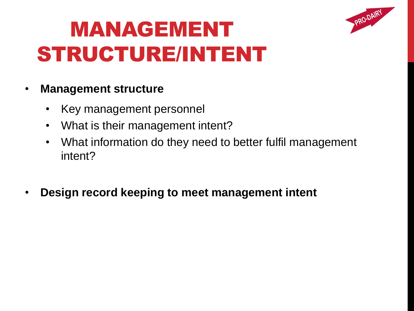

# MANAGEMENT STRUCTURE/INTENT

#### • **Management structure**

- Key management personnel
- What is their management intent?
- What information do they need to better fulfil management intent?
- **Design record keeping to meet management intent**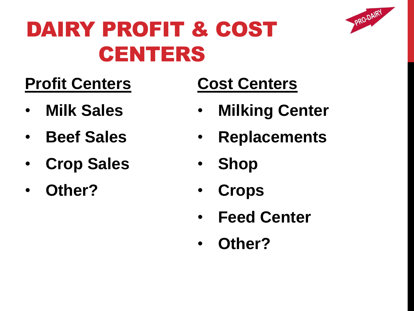

### DAIRY PROFIT & COST CENTERS

#### **Profit Centers**

- **Milk Sales**
- **Beef Sales**
- **Crop Sales**
- **Other?**

#### **Cost Centers**

- **Milking Center**
- **Replacements**
- **Shop**
- **Crops**
- **Feed Center**
- **Other?**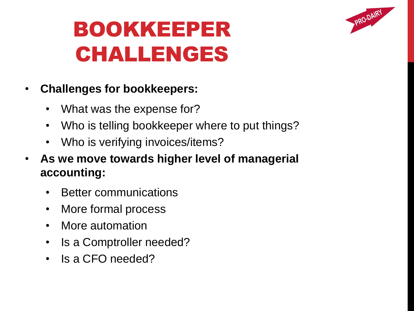

# BOOKKEEPER CHALLENGES

- **Challenges for bookkeepers:**
	- What was the expense for?
	- Who is telling bookkeeper where to put things?
	- Who is verifying invoices/items?
- **As we move towards higher level of managerial accounting:**
	- Better communications
	- More formal process
	- More automation
	- Is a Comptroller needed?
	- Is a CFO needed?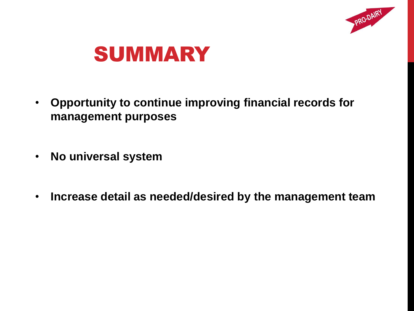



- **Opportunity to continue improving financial records for management purposes**
- **No universal system**
- **Increase detail as needed/desired by the management team**